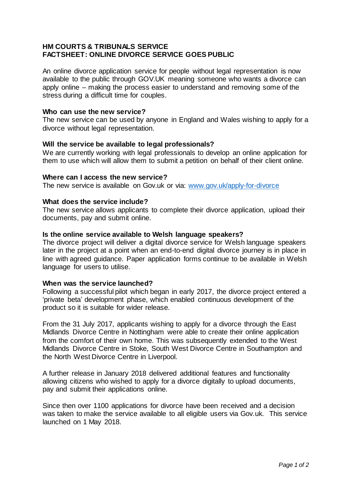# **HM COURTS & TRIBUNALS SERVICE FACTSHEET: ONLINE DIVORCE SERVICE GOES PUBLIC**

An online divorce application service for people without legal representation is now available to the public through GOV.UK meaning someone who wants a divorce can apply online – making the process easier to understand and removing some of the stress during a difficult time for couples.

#### **Who can use the new service?**

The new service can be used by anyone in England and Wales wishing to apply for a divorce without legal representation.

### **Will the service be available to legal professionals?**

We are currently working with legal professionals to develop an online application for them to use which will allow them to submit a petition on behalf of their client online.

#### **Where can I access the new service?**

The new service is available on Gov.uk or via: [www.gov.uk/apply-for-divorce](http://www.gov.uk/apply-for-divorce)

#### **What does the service include?**

The new service allows applicants to complete their divorce application, upload their documents, pay and submit online.

#### **Is the online service available to Welsh language speakers?**

The divorce project will deliver a digital divorce service for Welsh language speakers later in the project at a point when an end-to-end digital divorce journey is in place in line with agreed guidance. Paper application forms continue to be available in Welsh language for users to utilise.

#### **When was the service launched?**

Following a successful pilot which began in early 2017, the divorce project entered a 'private beta' development phase, which enabled continuous development of the product so it is suitable for wider release.

From the 31 July 2017, applicants wishing to apply for a divorce through the East Midlands Divorce Centre in Nottingham were able to create their online application from the comfort of their own home. This was subsequently extended to the West Midlands Divorce Centre in Stoke, South West Divorce Centre in Southampton and the North West Divorce Centre in Liverpool.

A further release in January 2018 delivered additional features and functionality allowing citizens who wished to apply for a divorce digitally to upload documents, pay and submit their applications online.

Since then over 1100 applications for divorce have been received and a decision was taken to make the service available to all eligible users via Gov.uk. This service launched on 1 May 2018.